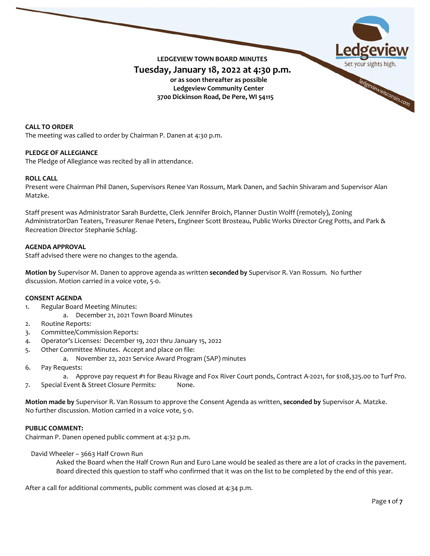

**CALL TO ORDER** The meeting was called to order by Chairman P. Danen at 4:30 p.m.

## **PLEDGE OF ALLEGIANCE**

The Pledge of Allegiance was recited by all in attendance.

### **ROLL CALL**

Present were Chairman Phil Danen, Supervisors Renee Van Rossum, Mark Danen, and Sachin Shivaram and Supervisor Alan Matzke.

Staff present was Administrator Sarah Burdette, Clerk Jennifer Broich, Planner Dustin Wolff (remotely), Zoning AdministratorDan Teaters, Treasurer Renae Peters, Engineer Scott Brosteau, Public Works Director Greg Potts, and Park & Recreation Director Stephanie Schlag.

### **AGENDA APPROVAL**

Staff advised there were no changes to the agenda.

**Motion by** Supervisor M. Danen to approve agenda as written **seconded by** Supervisor R. Van Rossum.No further discussion. Motion carried in a voice vote, 5-0.

#### **CONSENT AGENDA**

- 1. Regular Board Meeting Minutes:
	- a. December 21, 2021 Town Board Minutes
- 2. Routine Reports:
- 3. Committee/Commission Reports:
- 4. Operator's Licenses: December 19, 2021 thru January 15, 2022
- 5. Other Committee Minutes. Accept and place on file:
	- a. November 22, 2021 Service Award Program (SAP) minutes
- 6. Pay Requests:
	- a. Approve pay request #1 for Beau Rivage and Fox River Court ponds, Contract A-2021, for \$108,325.00 to Turf Pro.
- 7. Special Event & Street Closure Permits: None.

**Motion made by** Supervisor R. Van Rossum to approve the Consent Agenda as written, **seconded by** Supervisor A. Matzke. No further discussion. Motion carried in a voice vote, 5-0.

#### **PUBLIC COMMENT:**

Chairman P. Danen opened public comment at 4:32 p.m.

David Wheeler – 3663 Half Crown Run

Asked the Board when the Half Crown Run and Euro Lane would be sealed as there are a lot of cracks in the pavement. Board directed this question to staff who confirmed that it was on the list to be completed by the end of this year.

After a call for additional comments, public comment was closed at 4:34 p.m.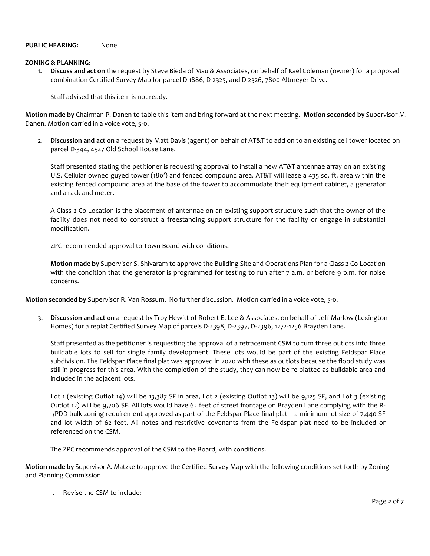### **PUBLIC HEARING:** None

#### **ZONING & PLANNING:**

1. **Discuss and act on** the request by Steve Bieda of Mau & Associates, on behalf of Kael Coleman (owner) for a proposed combination Certified Survey Map for parcel D-1886, D-2325, and D-2326, 7800 Altmeyer Drive.

Staff advised that this item is not ready.

**Motion made by** Chairman P. Danen to table this item and bring forward at the next meeting. **Motion seconded by** Supervisor M. Danen. Motion carried in a voice vote, 5-0.

2. **Discussion and act on** a request by Matt Davis (agent) on behalf of AT&T to add on to an existing cell tower located on parcel D-344, 4527 Old School House Lane.

Staff presented stating the petitioner is requesting approval to install a new AT&T antennae array on an existing U.S. Cellular owned guyed tower (180') and fenced compound area. AT&T will lease a 435 sq. ft. area within the existing fenced compound area at the base of the tower to accommodate their equipment cabinet, a generator and a rack and meter.

A Class 2 Co-Location is the placement of antennae on an existing support structure such that the owner of the facility does not need to construct a freestanding support structure for the facility or engage in substantial modification.

ZPC recommended approval to Town Board with conditions.

**Motion made by** Supervisor S. Shivaram to approve the Building Site and Operations Plan for a Class 2 Co-Location with the condition that the generator is programmed for testing to run after 7 a.m. or before 9 p.m. for noise concerns.

**Motion seconded by** Supervisor R. Van Rossum. No further discussion. Motion carried in a voice vote, 5-0.

3. **Discussion and act on** a request by Troy Hewitt of Robert E. Lee & Associates, on behalf of Jeff Marlow (Lexington Homes) for a replat Certified Survey Map of parcels D-2398, D-2397, D-2396, 1272-1256 Brayden Lane.

Staff presented as the petitioner is requesting the approval of a retracement CSM to turn three outlots into three buildable lots to sell for single family development. These lots would be part of the existing Feldspar Place subdivision. The Feldspar Place final plat was approved in 2020 with these as outlots because the flood study was still in progress for this area. With the completion of the study, they can now be re-platted as buildable area and included in the adjacent lots.

Lot 1 (existing Outlot 14) will be 13,387 SF in area, Lot 2 (existing Outlot 13) will be 9,125 SF, and Lot 3 (existing Outlot 12) will be 9,706 SF. All lots would have 62 feet of street frontage on Brayden Lane complying with the R-1/PDD bulk zoning requirement approved as part of the Feldspar Place final plat—a minimum lot size of 7,440 SF and lot width of 62 feet. All notes and restrictive covenants from the Feldspar plat need to be included or referenced on the CSM.

The ZPC recommends approval of the CSM to the Board, with conditions.

**Motion made by** Supervisor A. Matzke to approve the Certified Survey Map with the following conditions set forth by Zoning and Planning Commission

1. Revise the CSM to include: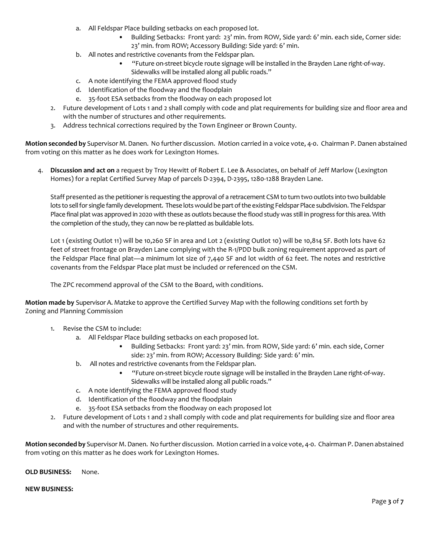- a. All Feldspar Place building setbacks on each proposed lot.
	- Building Setbacks: Front yard: 23' min. from ROW, Side yard: 6' min. each side, Corner side: 23' min. from ROW; Accessory Building: Side yard: 6' min.
- b. All notes and restrictive covenants from the Feldspar plan.
	- "Future on-street bicycle route signage will be installed in the Brayden Lane right-of-way. Sidewalks will be installed along all public roads."
- c. A note identifying the FEMA approved flood study
- d. Identification of the floodway and the floodplain
- e. 35-foot ESA setbacks from the floodway on each proposed lot
- 2. Future development of Lots 1 and 2 shall comply with code and plat requirements for building size and floor area and with the number of structures and other requirements.
- 3. Address technical corrections required by the Town Engineer or Brown County.

**Motion seconded by** Supervisor M. Danen. No further discussion. Motion carried in a voice vote, 4-0. Chairman P. Danen abstained from voting on this matter as he does work for Lexington Homes.

4. **Discussion and act on** a request by Troy Hewitt of Robert E. Lee & Associates, on behalf of Jeff Marlow (Lexington Homes) for a replat Certified Survey Map of parcels D-2394, D-2395, 1280-1288 Brayden Lane.

Staff presented as the petitioner is requesting the approval of a retracement CSM to turn two outlots into two buildable lots to sell for single family development. These lots would be part of the existing Feldspar Place subdivision. The Feldspar Place final plat was approved in 2020 with these as outlots because the flood study was still in progress for this area. With the completion of the study, they can now be re-platted as buildable lots.

Lot 1 (existing Outlot 11) will be 10,260 SF in area and Lot 2 (existing Outlot 10) will be 10,814 SF. Both lots have 62 feet of street frontage on Brayden Lane complying with the R-1/PDD bulk zoning requirement approved as part of the Feldspar Place final plat—a minimum lot size of 7,440 SF and lot width of 62 feet. The notes and restrictive covenants from the Feldspar Place plat must be included or referenced on the CSM.

The ZPC recommend approval of the CSM to the Board, with conditions.

**Motion made by** Supervisor A. Matzke to approve the Certified Survey Map with the following conditions set forth by Zoning and Planning Commission

- 1. Revise the CSM to include:
	- a. All Feldspar Place building setbacks on each proposed lot.
		- Building Setbacks: Front yard: 23' min. from ROW, Side yard: 6' min. each side, Corner side: 23' min. from ROW; Accessory Building: Side yard: 6' min.
	- b. All notes and restrictive covenants from the Feldspar plan.
		- "Future on-street bicycle route signage will be installed in the Brayden Lane right-of-way. Sidewalks will be installed along all public roads."
	- c. A note identifying the FEMA approved flood study
	- d. Identification of the floodway and the floodplain
	- e. 35-foot ESA setbacks from the floodway on each proposed lot
- 2. Future development of Lots 1 and 2 shall comply with code and plat requirements for building size and floor area and with the number of structures and other requirements.

**Motion seconded by** Supervisor M. Danen. No further discussion. Motion carried in a voice vote, 4-0. Chairman P. Danen abstained from voting on this matter as he does work for Lexington Homes.

**OLD BUSINESS:** None.

#### **NEW BUSINESS:**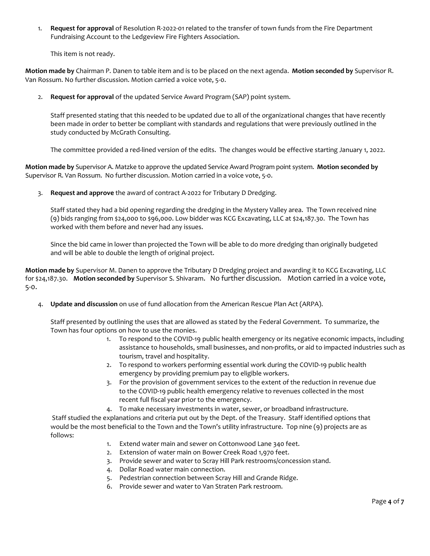1. **Request for approval** of Resolution R-2022-01 related to the transfer of town funds from the Fire Department Fundraising Account to the Ledgeview Fire Fighters Association.

This item is not ready.

**Motion made by** Chairman P. Danen to table item and is to be placed on the next agenda. **Motion seconded by** Supervisor R. Van Rossum. No further discussion. Motion carried a voice vote, 5-0.

2. **Request for approval** of the updated Service Award Program (SAP) point system.

Staff presented stating that this needed to be updated due to all of the organizational changes that have recently been made in order to better be compliant with standards and regulations that were previously outlined in the study conducted by McGrath Consulting.

The committee provided a red-lined version of the edits. The changes would be effective starting January 1, 2022.

**Motion made by** Supervisor A. Matzke to approve the updated Service Award Program point system. **Motion seconded by** Supervisor R. Van Rossum. No further discussion. Motion carried in a voice vote, 5-0.

3. **Request and approve** the award of contract A-2022 for Tributary D Dredging.

Staff stated they had a bid opening regarding the dredging in the Mystery Valley area. The Town received nine (9) bids ranging from \$24,000 to \$96,000. Low bidder was KCG Excavating, LLC at \$24,187.30. The Town has worked with them before and never had any issues.

Since the bid came in lower than projected the Town will be able to do more dredging than originally budgeted and will be able to double the length of original project.

**Motion made by** Supervisor M. Danen to approve the Tributary D Dredging project and awarding it to KCG Excavating, LLC for \$24,187.30. **Motion seconded by** Supervisor S. Shivaram. No further discussion. Motion carried in a voice vote, 5-0.

4. **Update and discussion** on use of fund allocation from the American Rescue Plan Act (ARPA).

Staff presented by outlining the uses that are allowed as stated by the Federal Government. To summarize, the Town has four options on how to use the monies.

- 1. To respond to the COVID-19 public health emergency or its negative economic impacts, including assistance to households, small businesses, and non-profits, or aid to impacted industries such as tourism, travel and hospitality.
- 2. To respond to workers performing essential work during the COVID-19 public health emergency by providing premium pay to eligible workers.
- 3. For the provision of government services to the extent of the reduction in revenue due to the COVID-19 public health emergency relative to revenues collected in the most recent full fiscal year prior to the emergency.
- 4. To make necessary investments in water, sewer, or broadband infrastructure.

Staff studied the explanations and criteria put out by the Dept. of the Treasury. Staff identified options that would be the most beneficial to the Town and the Town's utility infrastructure. Top nine (9) projects are as follows:

- 1. Extend water main and sewer on Cottonwood Lane 340 feet.
- 2. Extension of water main on Bower Creek Road 1,970 feet.
- 3. Provide sewer and water to Scray Hill Park restrooms/concession stand.
- 4. Dollar Road water main connection.
- 5. Pedestrian connection between Scray Hill and Grande Ridge.
- 6. Provide sewer and water to Van Straten Park restroom.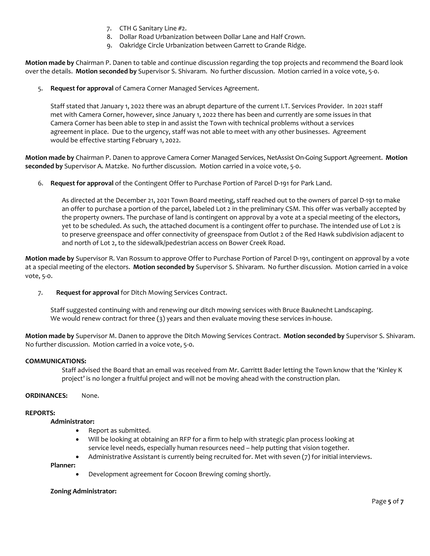- 7. CTH G Sanitary Line #2.
- 8. Dollar Road Urbanization between Dollar Lane and Half Crown.
- 9. Oakridge Circle Urbanization between Garrett to Grande Ridge.

**Motion made by** Chairman P. Danen to table and continue discussion regarding the top projects and recommend the Board look over the details. **Motion seconded by** Supervisor S. Shivaram. No further discussion. Motion carried in a voice vote, 5-0.

5. **Request for approval** of Camera Corner Managed Services Agreement.

Staff stated that January 1, 2022 there was an abrupt departure of the current I.T. Services Provider. In 2021 staff met with Camera Corner, however, since January 1, 2022 there has been and currently are some issues in that Camera Corner has been able to step in and assist the Town with technical problems without a services agreement in place. Due to the urgency, staff was not able to meet with any other businesses. Agreement would be effective starting February 1, 2022.

**Motion made by** Chairman P. Danen to approve Camera Corner Managed Services, NetAssist On-Going Support Agreement. **Motion seconded by** Supervisor A. Matzke. No further discussion. Motion carried in a voice vote, 5-0.

6. **Request for approval** of the Contingent Offer to Purchase Portion of Parcel D-191 for Park Land.

As directed at the December 21, 2021 Town Board meeting, staff reached out to the owners of parcel D-191 to make an offer to purchase a portion of the parcel, labeled Lot 2 in the preliminary CSM. This offer was verbally accepted by the property owners. The purchase of land is contingent on approval by a vote at a special meeting of the electors, yet to be scheduled. As such, the attached document is a contingent offer to purchase. The intended use of Lot 2 is to preserve greenspace and offer connectivity of greenspace from Outlot 2 of the Red Hawk subdivision adjacent to and north of Lot 2, to the sidewalk/pedestrian access on Bower Creek Road.

**Motion made by** Supervisor R. Van Rossum to approve Offer to Purchase Portion of Parcel D-191, contingent on approval by a vote at a special meeting of the electors. **Motion seconded by** Supervisor S. Shivaram. No further discussion. Motion carried in a voice vote, 5-0.

7. **Request for approval** for Ditch Mowing Services Contract.

Staff suggested continuing with and renewing our ditch mowing services with Bruce Bauknecht Landscaping. We would renew contract for three (3) years and then evaluate moving these services in-house.

**Motion made by** Supervisor M. Danen to approve the Ditch Mowing Services Contract. **Motion seconded by** Supervisor S. Shivaram. No further discussion. Motion carried in a voice vote, 5-0.

## **COMMUNICATIONS:**

Staff advised the Board that an email was received from Mr. Garrittt Bader letting the Town know that the 'Kinley K project' is no longer a fruitful project and will not be moving ahead with the construction plan.

## **ORDINANCES:** None.

## **REPORTS:**

## **Administrator:**

- Report as submitted.
- Will be looking at obtaining an RFP for a firm to help with strategic plan process looking at service level needs, especially human resources need – help putting that vision together.
- Administrative Assistant is currently being recruited for. Met with seven (7) for initial interviews.

#### **Planner:**

• Development agreement for Cocoon Brewing coming shortly.

#### **Zoning Administrator:**